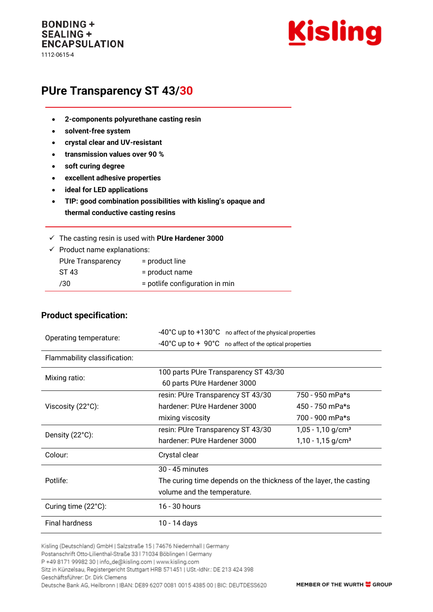#### **BONDING + SEALING + ENCAPSULATION** 1112-0615-4

Kisling

# **PUre Transparency ST 43/30**

- **2-components polyurethane casting resin**
- **solvent-free system**
- **crystal clear and UV-resistant**
- **transmission values over 90 %**
- **soft curing degree**
- **excellent adhesive properties**
- **ideal for LED applications**
- **TIP: good combination possibilities with kisling's opaque and thermal conductive casting resins**

|  | $\checkmark$ The casting resin is used with PUre Hardener 3000 |  |  |  |  |  |  |
|--|----------------------------------------------------------------|--|--|--|--|--|--|
|--|----------------------------------------------------------------|--|--|--|--|--|--|

 $\checkmark$  Product name explanations: PUre Transparency = product line

| <b>I</b> UIT IT AND PAIT THEY | $-$ product lifts                |
|-------------------------------|----------------------------------|
| ST 43                         | = product name                   |
| /30                           | $=$ potlife configuration in min |

#### **Product specification:**

| Operating temperature:       | -40°C up to +130°C no affect of the physical properties                   |                                 |  |  |
|------------------------------|---------------------------------------------------------------------------|---------------------------------|--|--|
|                              | $-40^{\circ}$ C up to $+90^{\circ}$ C no affect of the optical properties |                                 |  |  |
| Flammability classification: |                                                                           |                                 |  |  |
| Mixing ratio:                | 100 parts PUre Transparency ST 43/30                                      |                                 |  |  |
|                              | 60 parts PUre Hardener 3000                                               |                                 |  |  |
|                              | resin: PUre Transparency ST 43/30                                         | 750 - 950 mPa*s                 |  |  |
| Viscosity (22°C):            | hardener: PUre Hardener 3000                                              | 450 - 750 mPa*s                 |  |  |
|                              | mixing viscosity                                                          | 700 - 900 mPa*s                 |  |  |
| Density (22°C):              | resin: PUre Transparency ST 43/30                                         | $1,05 - 1,10$ g/cm <sup>3</sup> |  |  |
|                              | hardener: PUre Hardener 3000                                              | $1,10 - 1,15$ g/cm <sup>3</sup> |  |  |
| Colour:                      | Crystal clear                                                             |                                 |  |  |
|                              | 30 - 45 minutes                                                           |                                 |  |  |
| Potlife:                     | The curing time depends on the thickness of the layer, the casting        |                                 |  |  |
|                              | volume and the temperature.                                               |                                 |  |  |
| Curing time (22°C):          | 16 - 30 hours                                                             |                                 |  |  |
| <b>Final hardness</b>        | 10 - 14 days                                                              |                                 |  |  |

Kisling (Deutschland) GmbH | Salzstraße 15 | 74676 Niedernhall | Germany

P +49 8171 99982 30 | info\_de@kisling.com | www.kisling.com

Sitz in Künzelsau, Registergericht Stuttgart HRB 571451 | USt.-IdNr.: DE 213 424 398

Geschäftsführer: Dr. Dirk Clemens

Deutsche Bank AG, Heilbronn | IBAN: DE89 6207 0081 0015 4385 00 | BIC: DEUTDESS620

Postanschrift Otto-Lilienthal-Straße 33 | 71034 Böblingen | Germany